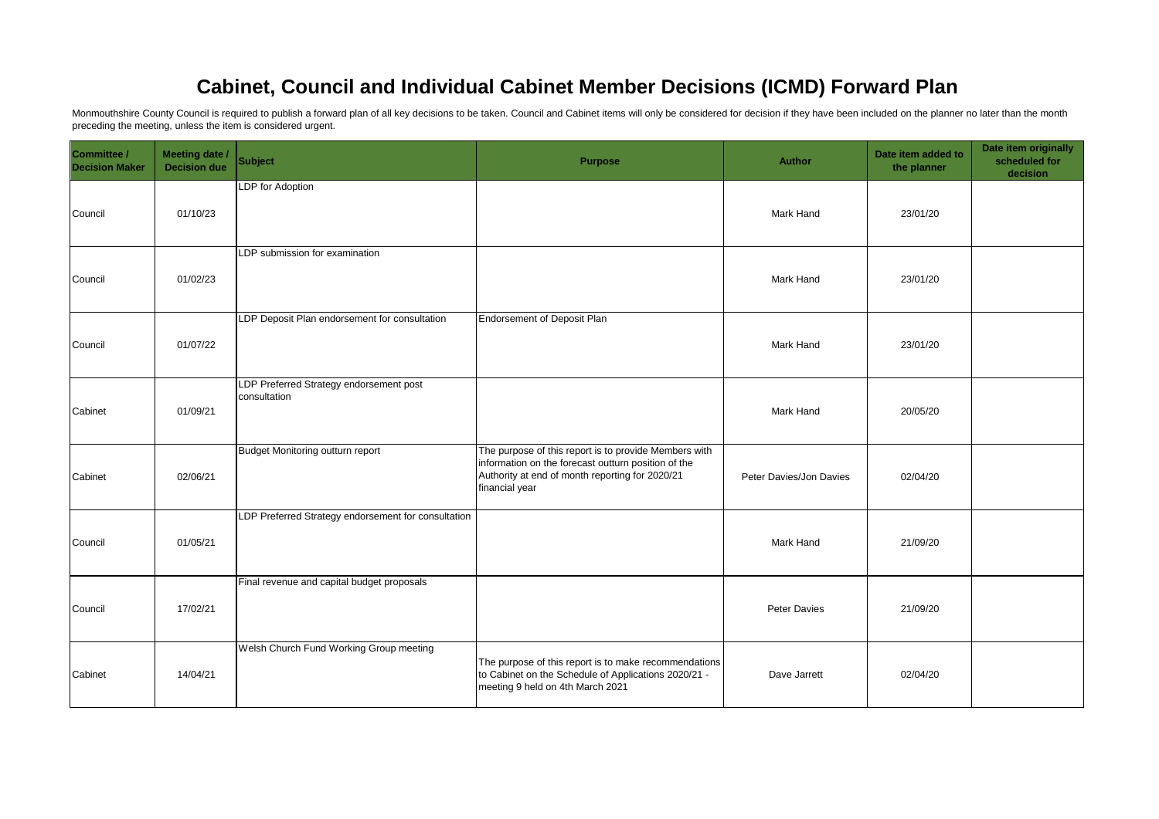## **Cabinet, Council and Individual Cabinet Member Decisions (ICMD) Forward Plan**

Monmouthshire County Council is required to publish a forward plan of all key decisions to be taken. Council and Cabinet items will only be considered for decision if they have been included on the planner no later than th preceding the meeting, unless the item is considered urgent.

| Committee /<br><b>Decision Maker</b> | <b>Meeting date /</b><br><b>Decision due</b> | <b>Subject</b>                                          | <b>Purpose</b>                                                                                                                                                                    | Author                  | Date item added to<br>the planner | Date item originally<br>scheduled for<br>decision |
|--------------------------------------|----------------------------------------------|---------------------------------------------------------|-----------------------------------------------------------------------------------------------------------------------------------------------------------------------------------|-------------------------|-----------------------------------|---------------------------------------------------|
| Council                              | 01/10/23                                     | LDP for Adoption                                        |                                                                                                                                                                                   | Mark Hand               | 23/01/20                          |                                                   |
| Council                              | 01/02/23                                     | LDP submission for examination                          |                                                                                                                                                                                   | Mark Hand               | 23/01/20                          |                                                   |
| Council                              | 01/07/22                                     | LDP Deposit Plan endorsement for consultation           | Endorsement of Deposit Plan                                                                                                                                                       | Mark Hand               | 23/01/20                          |                                                   |
| Cabinet                              | 01/09/21                                     | LDP Preferred Strategy endorsement post<br>consultation |                                                                                                                                                                                   | <b>Mark Hand</b>        | 20/05/20                          |                                                   |
| Cabinet                              | 02/06/21                                     | Budget Monitoring outturn report                        | The purpose of this report is to provide Members with<br>information on the forecast outturn position of the<br>Authority at end of month reporting for 2020/21<br>financial year | Peter Davies/Jon Davies | 02/04/20                          |                                                   |
| Council                              | 01/05/21                                     | LDP Preferred Strategy endorsement for consultation     |                                                                                                                                                                                   | Mark Hand               | 21/09/20                          |                                                   |
| Council                              | 17/02/21                                     | Final revenue and capital budget proposals              |                                                                                                                                                                                   | Peter Davies            | 21/09/20                          |                                                   |
| Cabinet                              | 14/04/21                                     | Welsh Church Fund Working Group meeting                 | The purpose of this report is to make recommendations<br>to Cabinet on the Schedule of Applications 2020/21 -<br>meeting 9 held on 4th March 2021                                 | Dave Jarrett            | 02/04/20                          |                                                   |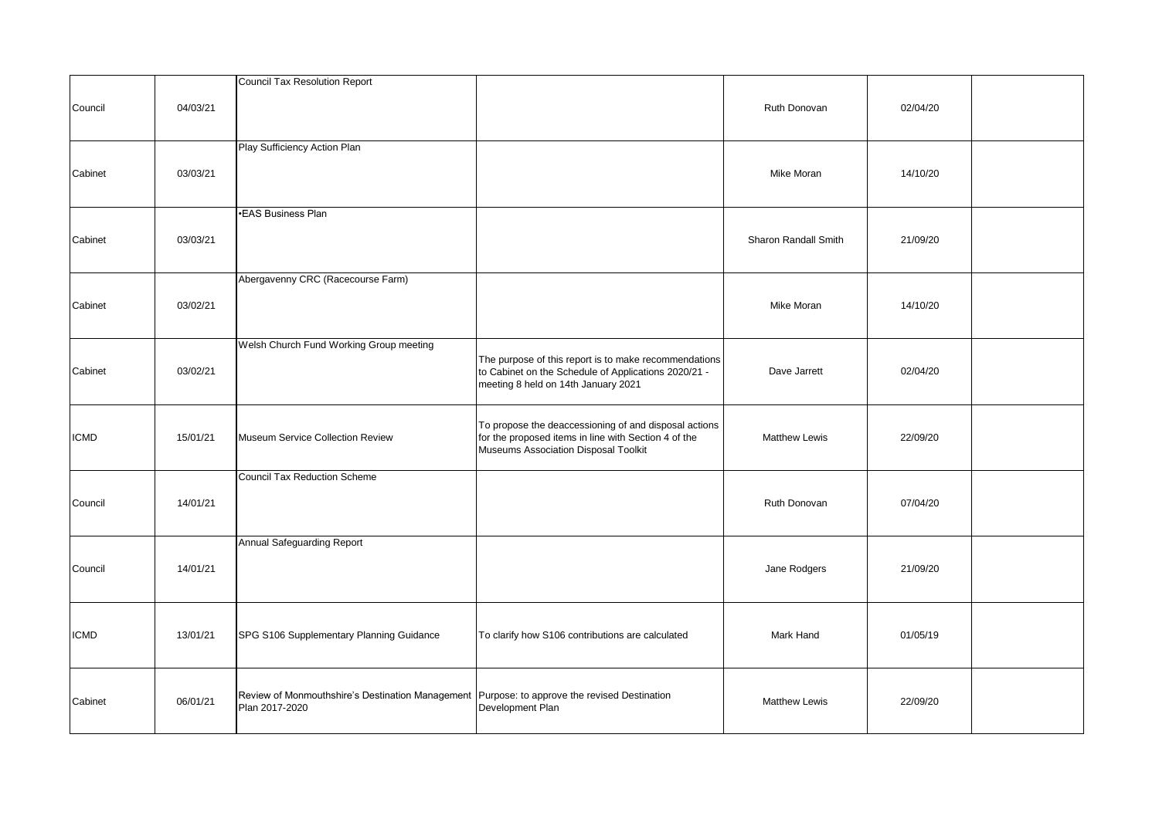|             |          | Council Tax Resolution Report                                                                                    |                                                                                                                                                       |                      |          |  |
|-------------|----------|------------------------------------------------------------------------------------------------------------------|-------------------------------------------------------------------------------------------------------------------------------------------------------|----------------------|----------|--|
| Council     | 04/03/21 |                                                                                                                  |                                                                                                                                                       | Ruth Donovan         | 02/04/20 |  |
| Cabinet     | 03/03/21 | Play Sufficiency Action Plan                                                                                     |                                                                                                                                                       | Mike Moran           | 14/10/20 |  |
| Cabinet     | 03/03/21 | •EAS Business Plan                                                                                               |                                                                                                                                                       | Sharon Randall Smith | 21/09/20 |  |
| Cabinet     | 03/02/21 | Abergavenny CRC (Racecourse Farm)                                                                                |                                                                                                                                                       | Mike Moran           | 14/10/20 |  |
| Cabinet     | 03/02/21 | Welsh Church Fund Working Group meeting                                                                          | The purpose of this report is to make recommendations<br>to Cabinet on the Schedule of Applications 2020/21 -<br>meeting 8 held on 14th January 2021  | Dave Jarrett         | 02/04/20 |  |
| ICMD        | 15/01/21 | Museum Service Collection Review                                                                                 | To propose the deaccessioning of and disposal actions<br>for the proposed items in line with Section 4 of the<br>Museums Association Disposal Toolkit | <b>Matthew Lewis</b> | 22/09/20 |  |
| Council     | 14/01/21 | <b>Council Tax Reduction Scheme</b>                                                                              |                                                                                                                                                       | Ruth Donovan         | 07/04/20 |  |
| Council     | 14/01/21 | Annual Safeguarding Report                                                                                       |                                                                                                                                                       | Jane Rodgers         | 21/09/20 |  |
| <b>ICMD</b> | 13/01/21 | SPG S106 Supplementary Planning Guidance                                                                         | To clarify how S106 contributions are calculated                                                                                                      | Mark Hand            | 01/05/19 |  |
| Cabinet     | 06/01/21 | Review of Monmouthshire's Destination Management   Purpose: to approve the revised Destination<br>Plan 2017-2020 | Development Plan                                                                                                                                      | <b>Matthew Lewis</b> | 22/09/20 |  |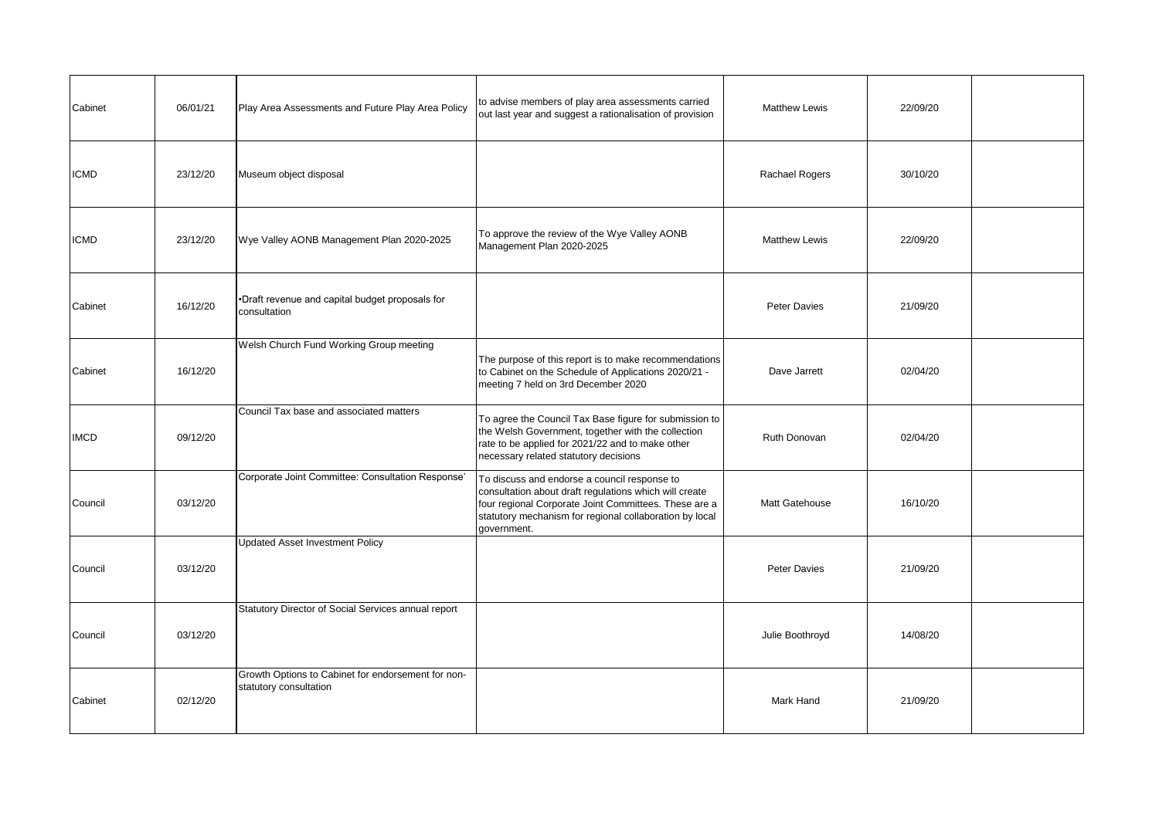| Cabinet     | 06/01/21 | Play Area Assessments and Future Play Area Policy                            | to advise members of play area assessments carried<br>out last year and suggest a rationalisation of provision                                                                                                                            | <b>Matthew Lewis</b> | 22/09/20 |  |
|-------------|----------|------------------------------------------------------------------------------|-------------------------------------------------------------------------------------------------------------------------------------------------------------------------------------------------------------------------------------------|----------------------|----------|--|
| ICMD        | 23/12/20 | Museum object disposal                                                       |                                                                                                                                                                                                                                           | Rachael Rogers       | 30/10/20 |  |
| ICMD        | 23/12/20 | Wye Valley AONB Management Plan 2020-2025                                    | To approve the review of the Wye Valley AONB<br>Management Plan 2020-2025                                                                                                                                                                 | <b>Matthew Lewis</b> | 22/09/20 |  |
| Cabinet     | 16/12/20 | *Draft revenue and capital budget proposals for<br>consultation              |                                                                                                                                                                                                                                           | Peter Davies         | 21/09/20 |  |
| Cabinet     | 16/12/20 | Welsh Church Fund Working Group meeting                                      | The purpose of this report is to make recommendations<br>to Cabinet on the Schedule of Applications 2020/21 -<br>meeting 7 held on 3rd December 2020                                                                                      | Dave Jarrett         | 02/04/20 |  |
| <b>IMCD</b> | 09/12/20 | Council Tax base and associated matters                                      | To agree the Council Tax Base figure for submission to<br>the Welsh Government, together with the collection<br>rate to be applied for 2021/22 and to make other<br>necessary related statutory decisions                                 | Ruth Donovan         | 02/04/20 |  |
| Council     | 03/12/20 | Corporate Joint Committee: Consultation Response'                            | To discuss and endorse a council response to<br>consultation about draft regulations which will create<br>four regional Corporate Joint Committees. These are a<br>statutory mechanism for regional collaboration by local<br>government. | Matt Gatehouse       | 16/10/20 |  |
| Council     | 03/12/20 | <b>Updated Asset Investment Policy</b>                                       |                                                                                                                                                                                                                                           | Peter Davies         | 21/09/20 |  |
| Council     | 03/12/20 | Statutory Director of Social Services annual report                          |                                                                                                                                                                                                                                           | Julie Boothroyd      | 14/08/20 |  |
| Cabinet     | 02/12/20 | Growth Options to Cabinet for endorsement for non-<br>statutory consultation |                                                                                                                                                                                                                                           | Mark Hand            | 21/09/20 |  |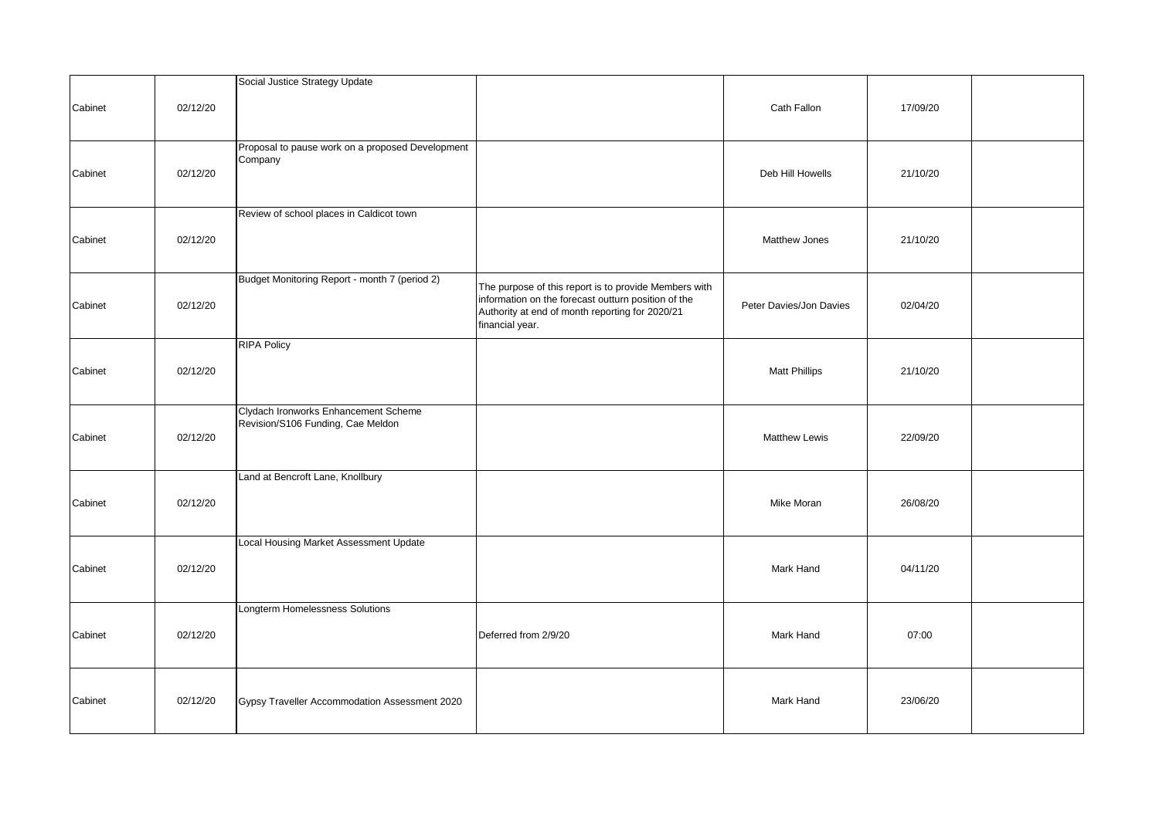|         |          | Social Justice Strategy Update                                            |                                                                                                                                                                                    |                         |          |  |
|---------|----------|---------------------------------------------------------------------------|------------------------------------------------------------------------------------------------------------------------------------------------------------------------------------|-------------------------|----------|--|
| Cabinet | 02/12/20 |                                                                           |                                                                                                                                                                                    | Cath Fallon             | 17/09/20 |  |
| Cabinet | 02/12/20 | Proposal to pause work on a proposed Development<br>Company               |                                                                                                                                                                                    | Deb Hill Howells        | 21/10/20 |  |
| Cabinet | 02/12/20 | Review of school places in Caldicot town                                  |                                                                                                                                                                                    | Matthew Jones           | 21/10/20 |  |
| Cabinet | 02/12/20 | Budget Monitoring Report - month 7 (period 2)                             | The purpose of this report is to provide Members with<br>information on the forecast outturn position of the<br>Authority at end of month reporting for 2020/21<br>financial year. | Peter Davies/Jon Davies | 02/04/20 |  |
| Cabinet | 02/12/20 | <b>RIPA Policy</b>                                                        |                                                                                                                                                                                    | <b>Matt Phillips</b>    | 21/10/20 |  |
| Cabinet | 02/12/20 | Clydach Ironworks Enhancement Scheme<br>Revision/S106 Funding, Cae Meldon |                                                                                                                                                                                    | <b>Matthew Lewis</b>    | 22/09/20 |  |
| Cabinet | 02/12/20 | Land at Bencroft Lane, Knollbury                                          |                                                                                                                                                                                    | Mike Moran              | 26/08/20 |  |
| Cabinet | 02/12/20 | Local Housing Market Assessment Update                                    |                                                                                                                                                                                    | Mark Hand               | 04/11/20 |  |
| Cabinet | 02/12/20 | Longterm Homelessness Solutions                                           | Deferred from 2/9/20                                                                                                                                                               | Mark Hand               | 07:00    |  |
| Cabinet | 02/12/20 | Gypsy Traveller Accommodation Assessment 2020                             |                                                                                                                                                                                    | Mark Hand               | 23/06/20 |  |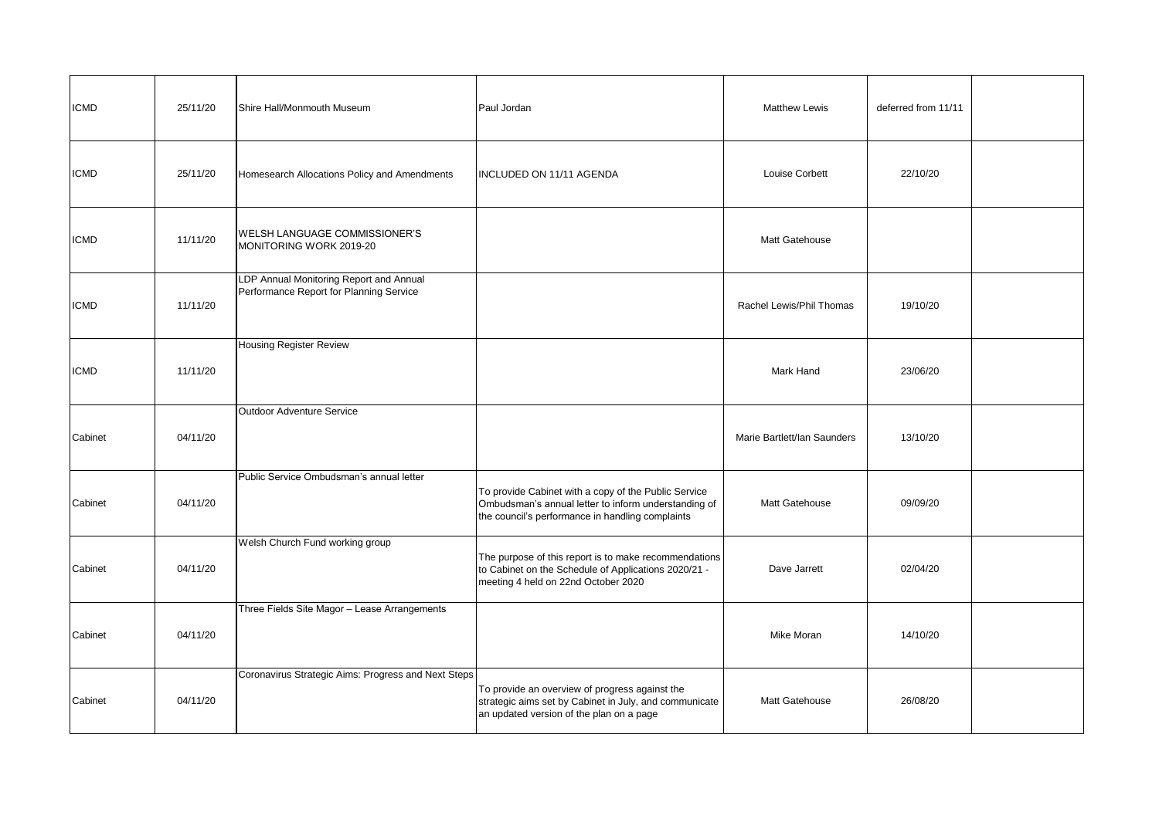| <b>ICMD</b> | 25/11/20 | Shire Hall/Monmouth Museum                                                         | Paul Jordan                                                                                                                                                      | <b>Matthew Lewis</b>        | deferred from 11/11 |  |
|-------------|----------|------------------------------------------------------------------------------------|------------------------------------------------------------------------------------------------------------------------------------------------------------------|-----------------------------|---------------------|--|
| <b>ICMD</b> | 25/11/20 | Homesearch Allocations Policy and Amendments                                       | INCLUDED ON 11/11 AGENDA                                                                                                                                         | Louise Corbett              | 22/10/20            |  |
| ICMD        | 11/11/20 | WELSH LANGUAGE COMMISSIONER'S<br>MONITORING WORK 2019-20                           |                                                                                                                                                                  | Matt Gatehouse              |                     |  |
| ICMD        | 11/11/20 | LDP Annual Monitoring Report and Annual<br>Performance Report for Planning Service |                                                                                                                                                                  | Rachel Lewis/Phil Thomas    | 19/10/20            |  |
| ICMD        | 11/11/20 | <b>Housing Register Review</b>                                                     |                                                                                                                                                                  | Mark Hand                   | 23/06/20            |  |
| Cabinet     | 04/11/20 | Outdoor Adventure Service                                                          |                                                                                                                                                                  | Marie Bartlett/Ian Saunders | 13/10/20            |  |
| Cabinet     | 04/11/20 | Public Service Ombudsman's annual letter                                           | To provide Cabinet with a copy of the Public Service<br>Ombudsman's annual letter to inform understanding of<br>the council's performance in handling complaints | Matt Gatehouse              | 09/09/20            |  |
| Cabinet     | 04/11/20 | Welsh Church Fund working group                                                    | The purpose of this report is to make recommendations<br>to Cabinet on the Schedule of Applications 2020/21 -<br>meeting 4 held on 22nd October 2020             | Dave Jarrett                | 02/04/20            |  |
| Cabinet     | 04/11/20 | Three Fields Site Magor - Lease Arrangements                                       |                                                                                                                                                                  | Mike Moran                  | 14/10/20            |  |
| Cabinet     | 04/11/20 | Coronavirus Strategic Aims: Progress and Next Steps                                | To provide an overview of progress against the<br>strategic aims set by Cabinet in July, and communicate<br>an updated version of the plan on a page             | Matt Gatehouse              | 26/08/20            |  |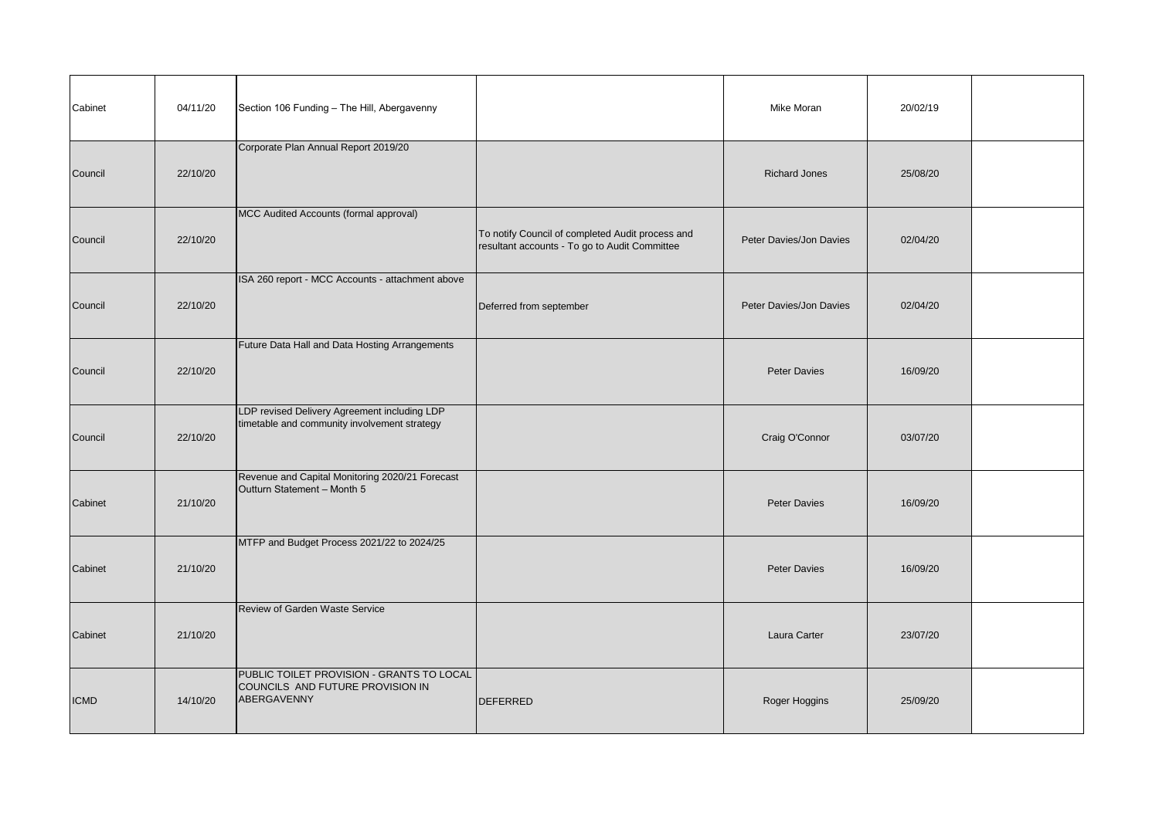| Cabinet     | 04/11/20 | Section 106 Funding - The Hill, Abergavenny                                                  |                                                                                                   | Mike Moran              | 20/02/19 |  |
|-------------|----------|----------------------------------------------------------------------------------------------|---------------------------------------------------------------------------------------------------|-------------------------|----------|--|
| Council     | 22/10/20 | Corporate Plan Annual Report 2019/20                                                         |                                                                                                   | <b>Richard Jones</b>    | 25/08/20 |  |
| Council     | 22/10/20 | MCC Audited Accounts (formal approval)                                                       | To notify Council of completed Audit process and<br>resultant accounts - To go to Audit Committee | Peter Davies/Jon Davies | 02/04/20 |  |
| Council     | 22/10/20 | ISA 260 report - MCC Accounts - attachment above                                             | Deferred from september                                                                           | Peter Davies/Jon Davies | 02/04/20 |  |
| Council     | 22/10/20 | Future Data Hall and Data Hosting Arrangements                                               |                                                                                                   | <b>Peter Davies</b>     | 16/09/20 |  |
| Council     | 22/10/20 | LDP revised Delivery Agreement including LDP<br>timetable and community involvement strategy |                                                                                                   | Craig O'Connor          | 03/07/20 |  |
| Cabinet     | 21/10/20 | Revenue and Capital Monitoring 2020/21 Forecast<br>Outturn Statement - Month 5               |                                                                                                   | <b>Peter Davies</b>     | 16/09/20 |  |
| Cabinet     | 21/10/20 | MTFP and Budget Process 2021/22 to 2024/25                                                   |                                                                                                   | <b>Peter Davies</b>     | 16/09/20 |  |
| Cabinet     | 21/10/20 | Review of Garden Waste Service                                                               |                                                                                                   | Laura Carter            | 23/07/20 |  |
| <b>ICMD</b> | 14/10/20 | PUBLIC TOILET PROVISION - GRANTS TO LOCAL<br>COUNCILS AND FUTURE PROVISION IN<br>ABERGAVENNY | DEFERRED                                                                                          | Roger Hoggins           | 25/09/20 |  |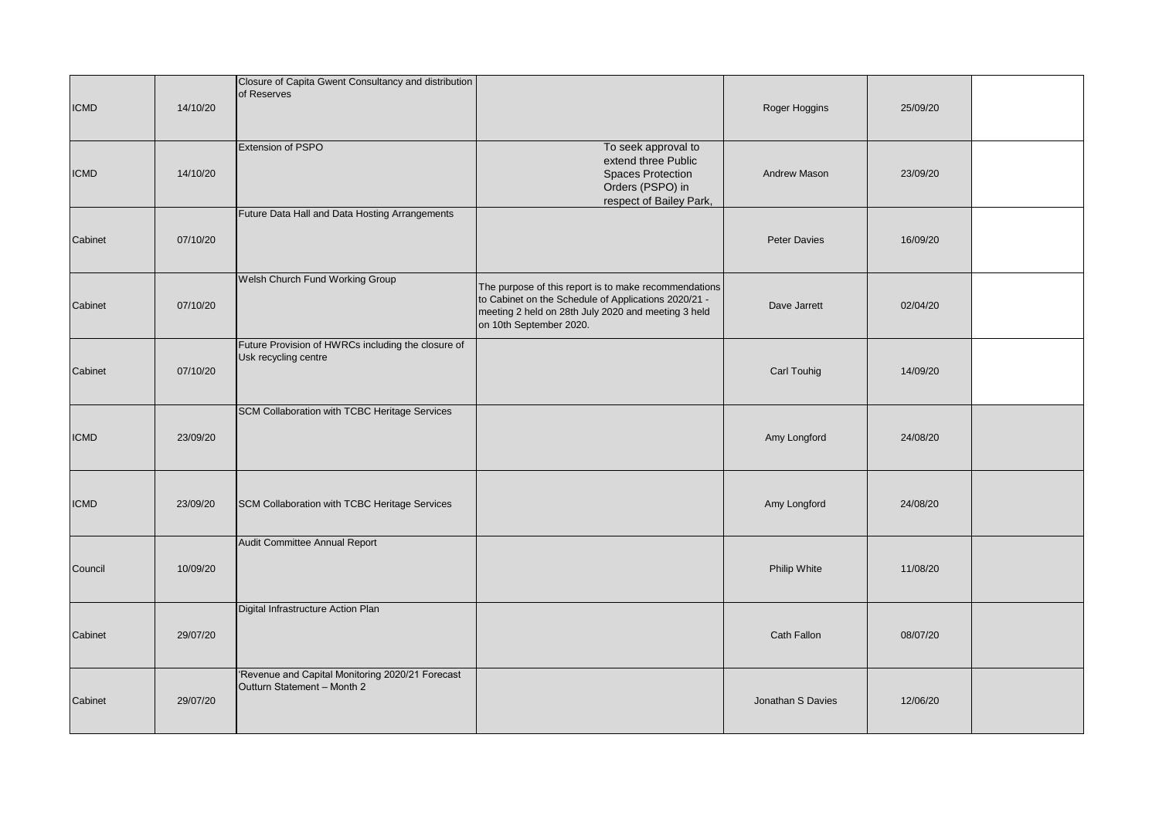| <b>ICMD</b> | 14/10/20 | Closure of Capita Gwent Consultancy and distribution<br>of Reserves             |                                                                                                                                                                                                 | Roger Hoggins       | 25/09/20 |  |
|-------------|----------|---------------------------------------------------------------------------------|-------------------------------------------------------------------------------------------------------------------------------------------------------------------------------------------------|---------------------|----------|--|
| <b>ICMD</b> | 14/10/20 | Extension of PSPO                                                               | To seek approval to<br>extend three Public<br><b>Spaces Protection</b><br>Orders (PSPO) in<br>respect of Bailey Park,                                                                           | Andrew Mason        | 23/09/20 |  |
| Cabinet     | 07/10/20 | Future Data Hall and Data Hosting Arrangements                                  |                                                                                                                                                                                                 | <b>Peter Davies</b> | 16/09/20 |  |
| Cabinet     | 07/10/20 | Welsh Church Fund Working Group                                                 | The purpose of this report is to make recommendations<br>to Cabinet on the Schedule of Applications 2020/21 -<br>meeting 2 held on 28th July 2020 and meeting 3 held<br>on 10th September 2020. | Dave Jarrett        | 02/04/20 |  |
| Cabinet     | 07/10/20 | Future Provision of HWRCs including the closure of<br>Usk recycling centre      |                                                                                                                                                                                                 | Carl Touhig         | 14/09/20 |  |
| <b>ICMD</b> | 23/09/20 | SCM Collaboration with TCBC Heritage Services                                   |                                                                                                                                                                                                 | Amy Longford        | 24/08/20 |  |
| <b>ICMD</b> | 23/09/20 | SCM Collaboration with TCBC Heritage Services                                   |                                                                                                                                                                                                 | Amy Longford        | 24/08/20 |  |
| Council     | 10/09/20 | Audit Committee Annual Report                                                   |                                                                                                                                                                                                 | Philip White        | 11/08/20 |  |
| Cabinet     | 29/07/20 | Digital Infrastructure Action Plan                                              |                                                                                                                                                                                                 | Cath Fallon         | 08/07/20 |  |
| Cabinet     | 29/07/20 | 'Revenue and Capital Monitoring 2020/21 Forecast<br>Outturn Statement - Month 2 |                                                                                                                                                                                                 | Jonathan S Davies   | 12/06/20 |  |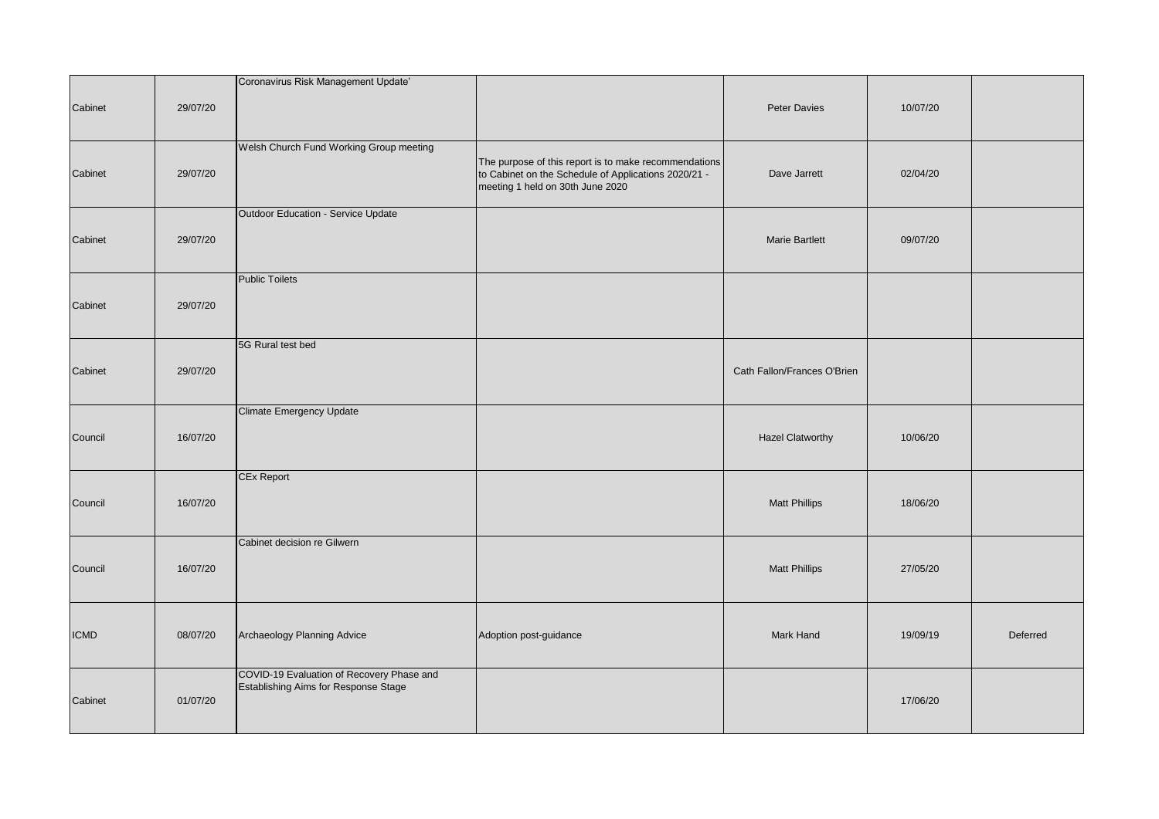| Cabinet     | 29/07/20 | Coronavirus Risk Management Update'                                               |                                                                                                                                                   | <b>Peter Davies</b>         | 10/07/20 |          |
|-------------|----------|-----------------------------------------------------------------------------------|---------------------------------------------------------------------------------------------------------------------------------------------------|-----------------------------|----------|----------|
| Cabinet     | 29/07/20 | Welsh Church Fund Working Group meeting                                           | The purpose of this report is to make recommendations<br>to Cabinet on the Schedule of Applications 2020/21 -<br>meeting 1 held on 30th June 2020 | Dave Jarrett                | 02/04/20 |          |
| Cabinet     | 29/07/20 | Outdoor Education - Service Update                                                |                                                                                                                                                   | <b>Marie Bartlett</b>       | 09/07/20 |          |
| Cabinet     | 29/07/20 | <b>Public Toilets</b>                                                             |                                                                                                                                                   |                             |          |          |
| Cabinet     | 29/07/20 | 5G Rural test bed                                                                 |                                                                                                                                                   | Cath Fallon/Frances O'Brien |          |          |
| Council     | 16/07/20 | Climate Emergency Update                                                          |                                                                                                                                                   | <b>Hazel Clatworthy</b>     | 10/06/20 |          |
| Council     | 16/07/20 | <b>CEx Report</b>                                                                 |                                                                                                                                                   | <b>Matt Phillips</b>        | 18/06/20 |          |
| Council     | 16/07/20 | Cabinet decision re Gilwern                                                       |                                                                                                                                                   | <b>Matt Phillips</b>        | 27/05/20 |          |
| <b>ICMD</b> | 08/07/20 | Archaeology Planning Advice                                                       | Adoption post-guidance                                                                                                                            | Mark Hand                   | 19/09/19 | Deferred |
| Cabinet     | 01/07/20 | COVID-19 Evaluation of Recovery Phase and<br>Establishing Aims for Response Stage |                                                                                                                                                   |                             | 17/06/20 |          |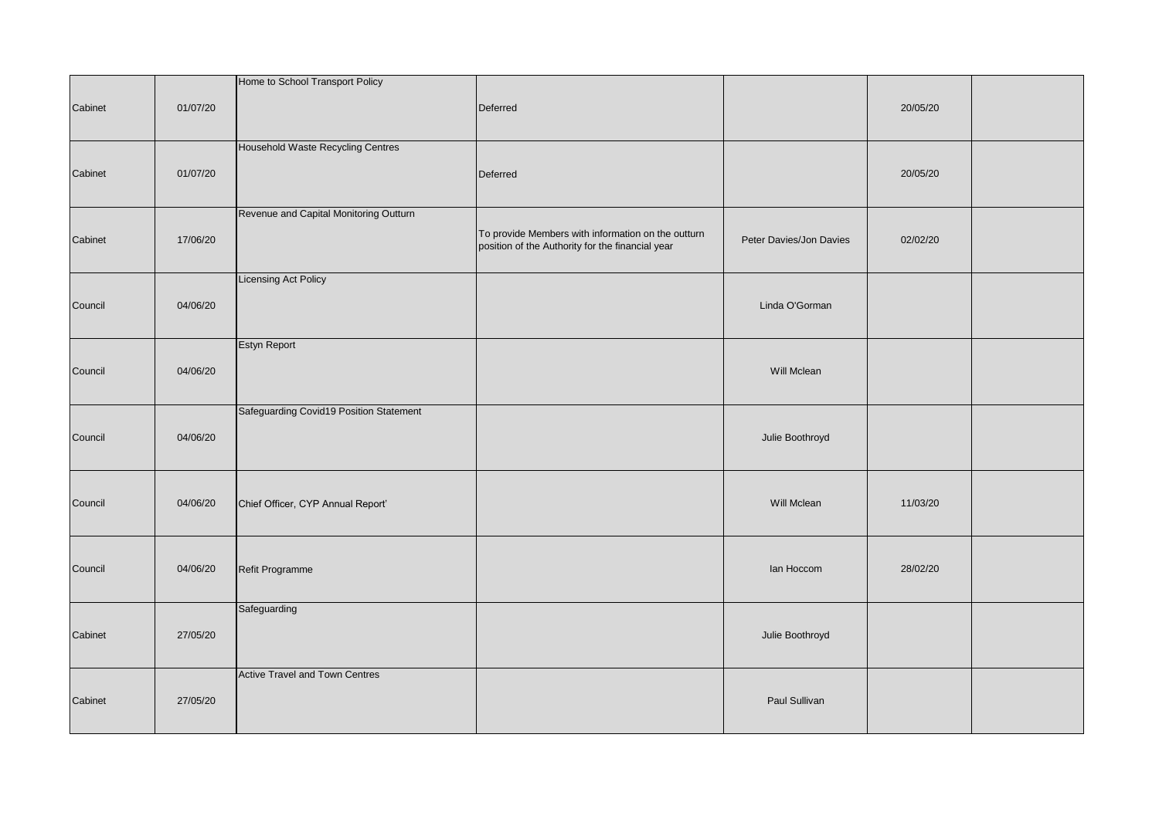| Cabinet | 01/07/20 | Home to School Transport Policy         | Deferred                                                                                               |                         | 20/05/20 |  |
|---------|----------|-----------------------------------------|--------------------------------------------------------------------------------------------------------|-------------------------|----------|--|
| Cabinet | 01/07/20 | Household Waste Recycling Centres       | Deferred                                                                                               |                         | 20/05/20 |  |
| Cabinet | 17/06/20 | Revenue and Capital Monitoring Outturn  | To provide Members with information on the outturn<br>position of the Authority for the financial year | Peter Davies/Jon Davies | 02/02/20 |  |
| Council | 04/06/20 | <b>Licensing Act Policy</b>             |                                                                                                        | Linda O'Gorman          |          |  |
| Council | 04/06/20 | Estyn Report                            |                                                                                                        | Will Mclean             |          |  |
| Council | 04/06/20 | Safeguarding Covid19 Position Statement |                                                                                                        | Julie Boothroyd         |          |  |
| Council | 04/06/20 | Chief Officer, CYP Annual Report'       |                                                                                                        | Will Mclean             | 11/03/20 |  |
| Council | 04/06/20 | Refit Programme                         |                                                                                                        | lan Hoccom              | 28/02/20 |  |
| Cabinet | 27/05/20 | Safeguarding                            |                                                                                                        | Julie Boothroyd         |          |  |
| Cabinet | 27/05/20 | <b>Active Travel and Town Centres</b>   |                                                                                                        | Paul Sullivan           |          |  |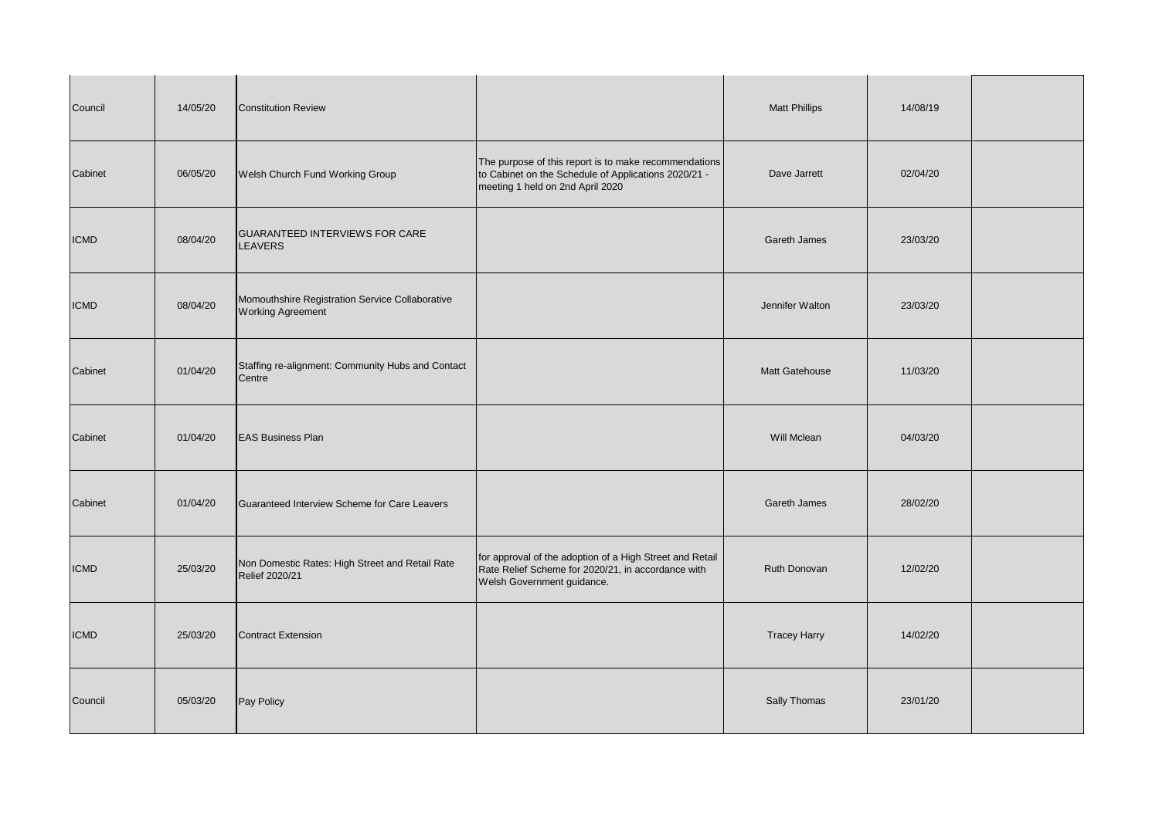| Council     | 14/05/20 | <b>Constitution Review</b>                                                  |                                                                                                                                                   | <b>Matt Phillips</b> | 14/08/19 |  |
|-------------|----------|-----------------------------------------------------------------------------|---------------------------------------------------------------------------------------------------------------------------------------------------|----------------------|----------|--|
| Cabinet     | 06/05/20 | Welsh Church Fund Working Group                                             | The purpose of this report is to make recommendations<br>to Cabinet on the Schedule of Applications 2020/21 -<br>meeting 1 held on 2nd April 2020 | Dave Jarrett         | 02/04/20 |  |
| <b>ICMD</b> | 08/04/20 | GUARANTEED INTERVIEWS FOR CARE<br><b>LEAVERS</b>                            |                                                                                                                                                   | Gareth James         | 23/03/20 |  |
| <b>ICMD</b> | 08/04/20 | Momouthshire Registration Service Collaborative<br><b>Working Agreement</b> |                                                                                                                                                   | Jennifer Walton      | 23/03/20 |  |
| Cabinet     | 01/04/20 | Staffing re-alignment: Community Hubs and Contact<br>Centre                 |                                                                                                                                                   | Matt Gatehouse       | 11/03/20 |  |
| Cabinet     | 01/04/20 | <b>EAS Business Plan</b>                                                    |                                                                                                                                                   | Will Mclean          | 04/03/20 |  |
| Cabinet     | 01/04/20 | Guaranteed Interview Scheme for Care Leavers                                |                                                                                                                                                   | <b>Gareth James</b>  | 28/02/20 |  |
| <b>ICMD</b> | 25/03/20 | Non Domestic Rates: High Street and Retail Rate<br>Relief 2020/21           | for approval of the adoption of a High Street and Retail<br>Rate Relief Scheme for 2020/21, in accordance with<br>Welsh Government guidance.      | Ruth Donovan         | 12/02/20 |  |
| <b>ICMD</b> | 25/03/20 | <b>Contract Extension</b>                                                   |                                                                                                                                                   | <b>Tracey Harry</b>  | 14/02/20 |  |
| Council     | 05/03/20 | Pay Policy                                                                  |                                                                                                                                                   | Sally Thomas         | 23/01/20 |  |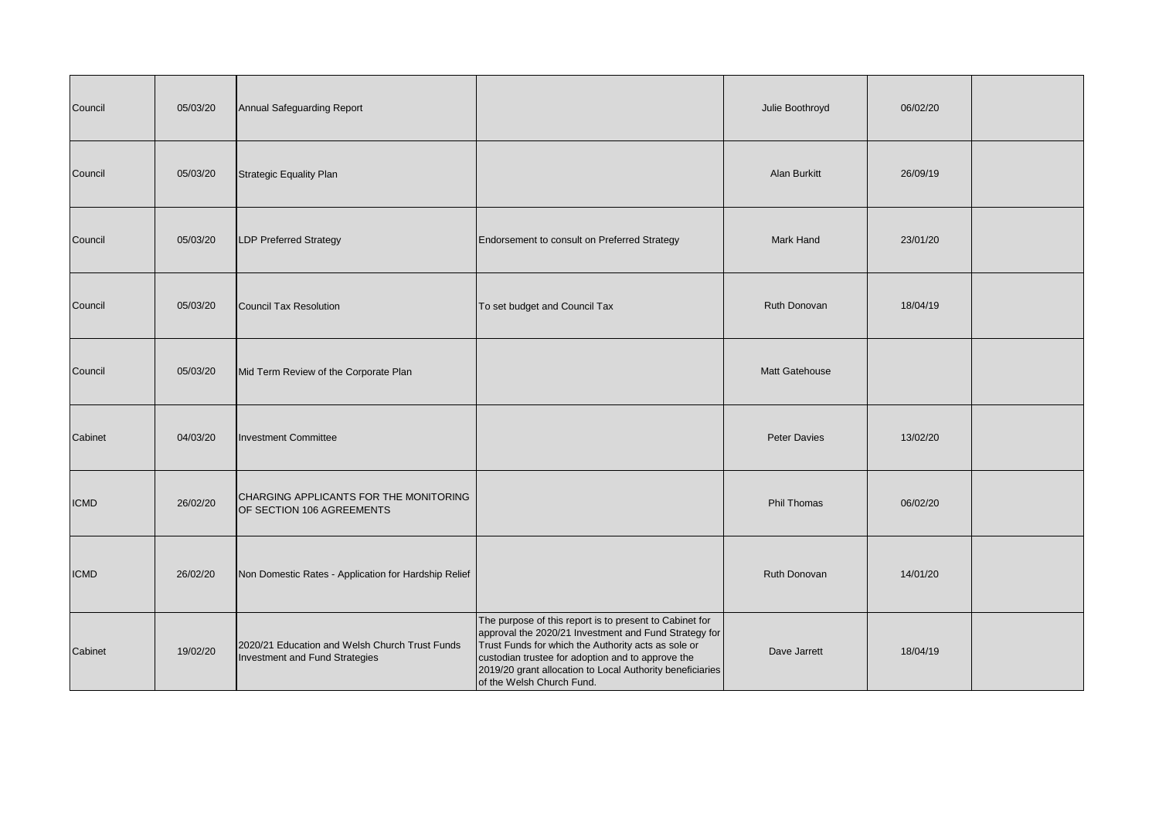| Council     | 05/03/20 | Annual Safeguarding Report                                                       |                                                                                                                                                                                                                                                                                                                        | Julie Boothroyd    | 06/02/20 |  |
|-------------|----------|----------------------------------------------------------------------------------|------------------------------------------------------------------------------------------------------------------------------------------------------------------------------------------------------------------------------------------------------------------------------------------------------------------------|--------------------|----------|--|
| Council     | 05/03/20 | <b>Strategic Equality Plan</b>                                                   |                                                                                                                                                                                                                                                                                                                        | Alan Burkitt       | 26/09/19 |  |
| Council     | 05/03/20 | LDP Preferred Strategy                                                           | Endorsement to consult on Preferred Strategy                                                                                                                                                                                                                                                                           | <b>Mark Hand</b>   | 23/01/20 |  |
| Council     | 05/03/20 | Council Tax Resolution                                                           | To set budget and Council Tax                                                                                                                                                                                                                                                                                          | Ruth Donovan       | 18/04/19 |  |
| Council     | 05/03/20 | Mid Term Review of the Corporate Plan                                            |                                                                                                                                                                                                                                                                                                                        | Matt Gatehouse     |          |  |
| Cabinet     | 04/03/20 | <b>Investment Committee</b>                                                      |                                                                                                                                                                                                                                                                                                                        | Peter Davies       | 13/02/20 |  |
| <b>ICMD</b> | 26/02/20 | CHARGING APPLICANTS FOR THE MONITORING<br>OF SECTION 106 AGREEMENTS              |                                                                                                                                                                                                                                                                                                                        | <b>Phil Thomas</b> | 06/02/20 |  |
| <b>ICMD</b> | 26/02/20 | Non Domestic Rates - Application for Hardship Relief                             |                                                                                                                                                                                                                                                                                                                        | Ruth Donovan       | 14/01/20 |  |
| Cabinet     | 19/02/20 | 2020/21 Education and Welsh Church Trust Funds<br>Investment and Fund Strategies | The purpose of this report is to present to Cabinet for<br>approval the 2020/21 Investment and Fund Strategy for<br>Trust Funds for which the Authority acts as sole or<br>custodian trustee for adoption and to approve the<br>2019/20 grant allocation to Local Authority beneficiaries<br>of the Welsh Church Fund. | Dave Jarrett       | 18/04/19 |  |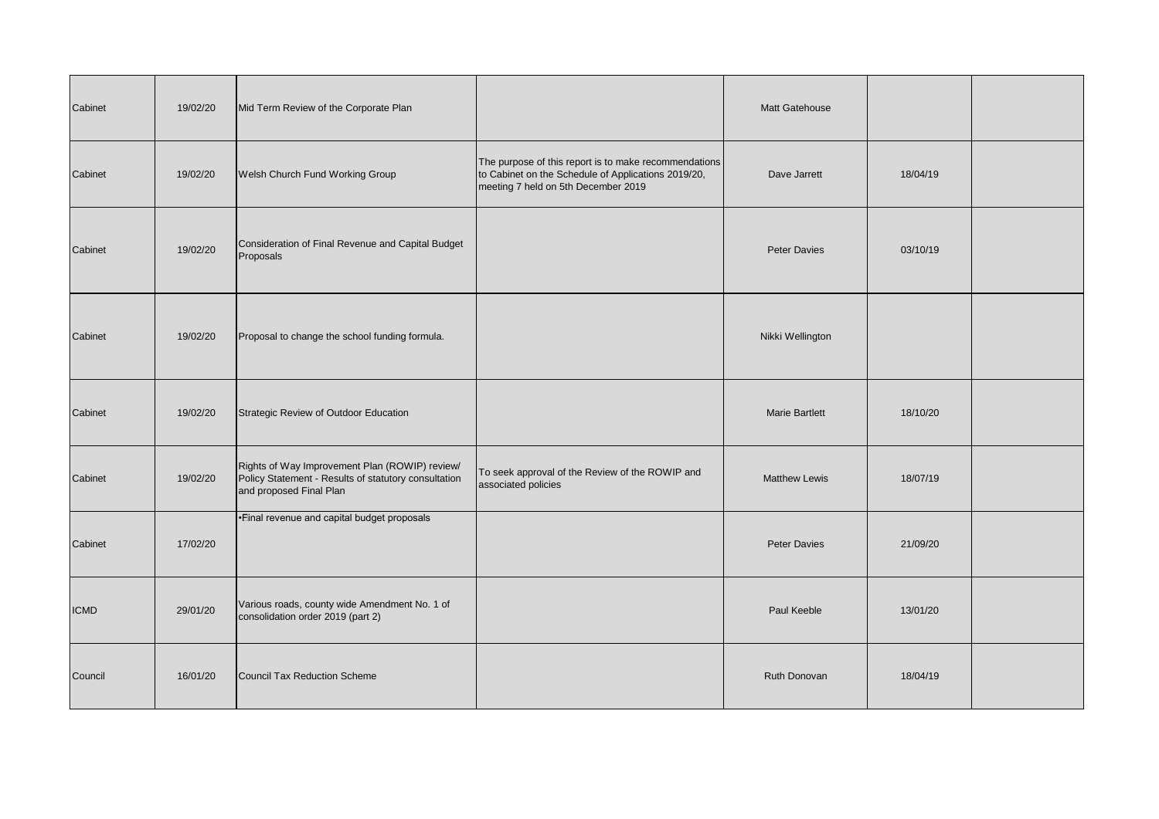| Cabinet     | 19/02/20 | Mid Term Review of the Corporate Plan                                                                                             |                                                                                                                                                     | Matt Gatehouse        |          |  |
|-------------|----------|-----------------------------------------------------------------------------------------------------------------------------------|-----------------------------------------------------------------------------------------------------------------------------------------------------|-----------------------|----------|--|
| Cabinet     | 19/02/20 | Welsh Church Fund Working Group                                                                                                   | The purpose of this report is to make recommendations<br>to Cabinet on the Schedule of Applications 2019/20,<br>meeting 7 held on 5th December 2019 | Dave Jarrett          | 18/04/19 |  |
| Cabinet     | 19/02/20 | Consideration of Final Revenue and Capital Budget<br>Proposals                                                                    |                                                                                                                                                     | <b>Peter Davies</b>   | 03/10/19 |  |
| Cabinet     | 19/02/20 | Proposal to change the school funding formula.                                                                                    |                                                                                                                                                     | Nikki Wellington      |          |  |
| Cabinet     | 19/02/20 | Strategic Review of Outdoor Education                                                                                             |                                                                                                                                                     | <b>Marie Bartlett</b> | 18/10/20 |  |
| Cabinet     | 19/02/20 | Rights of Way Improvement Plan (ROWIP) review/<br>Policy Statement - Results of statutory consultation<br>and proposed Final Plan | To seek approval of the Review of the ROWIP and<br>associated policies                                                                              | <b>Matthew Lewis</b>  | 18/07/19 |  |
| Cabinet     | 17/02/20 | •Einal revenue and capital budget proposals                                                                                       |                                                                                                                                                     | Peter Davies          | 21/09/20 |  |
| <b>ICMD</b> | 29/01/20 | Various roads, county wide Amendment No. 1 of<br>consolidation order 2019 (part 2)                                                |                                                                                                                                                     | Paul Keeble           | 13/01/20 |  |
| Council     | 16/01/20 | Council Tax Reduction Scheme                                                                                                      |                                                                                                                                                     | Ruth Donovan          | 18/04/19 |  |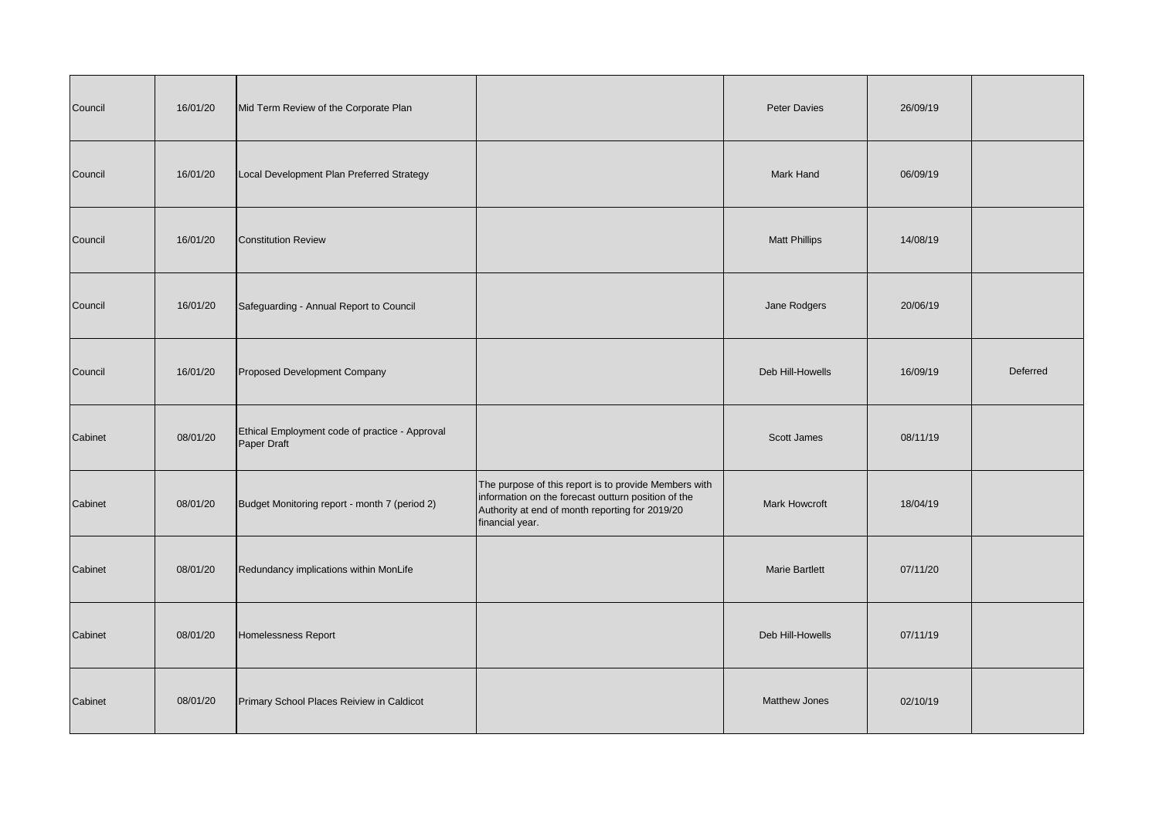| Council | 16/01/20 | Mid Term Review of the Corporate Plan                         |                                                                                                                                                                                    | <b>Peter Davies</b>   | 26/09/19 |          |
|---------|----------|---------------------------------------------------------------|------------------------------------------------------------------------------------------------------------------------------------------------------------------------------------|-----------------------|----------|----------|
| Council | 16/01/20 | Local Development Plan Preferred Strategy                     |                                                                                                                                                                                    | Mark Hand             | 06/09/19 |          |
| Council | 16/01/20 | <b>Constitution Review</b>                                    |                                                                                                                                                                                    | <b>Matt Phillips</b>  | 14/08/19 |          |
| Council | 16/01/20 | Safeguarding - Annual Report to Council                       |                                                                                                                                                                                    | Jane Rodgers          | 20/06/19 |          |
| Council | 16/01/20 | Proposed Development Company                                  |                                                                                                                                                                                    | Deb Hill-Howells      | 16/09/19 | Deferred |
| Cabinet | 08/01/20 | Ethical Employment code of practice - Approval<br>Paper Draft |                                                                                                                                                                                    | <b>Scott James</b>    | 08/11/19 |          |
| Cabinet | 08/01/20 | Budget Monitoring report - month 7 (period 2)                 | The purpose of this report is to provide Members with<br>information on the forecast outturn position of the<br>Authority at end of month reporting for 2019/20<br>financial year. | <b>Mark Howcroft</b>  | 18/04/19 |          |
| Cabinet | 08/01/20 | Redundancy implications within MonLife                        |                                                                                                                                                                                    | <b>Marie Bartlett</b> | 07/11/20 |          |
| Cabinet | 08/01/20 | Homelessness Report                                           |                                                                                                                                                                                    | Deb Hill-Howells      | 07/11/19 |          |
| Cabinet | 08/01/20 | Primary School Places Reiview in Caldicot                     |                                                                                                                                                                                    | Matthew Jones         | 02/10/19 |          |